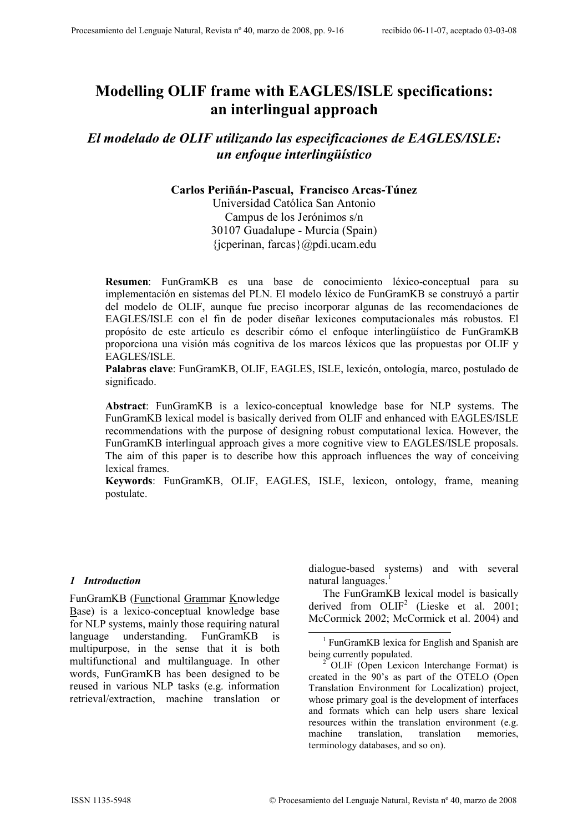# Modelling OLIF frame with EAGLES/ISLE specifications: an interlingual approach

El modelado de OLIF utilizando las especificaciones de EAGLES/ISLE: un enfoque interlingüístico

## Carlos Periñán-Pascual, Francisco Arcas-Túnez

Universidad Católica San Antonio Campus de los Jerónimos s/n 30107 Guadalupe - Murcia (Spain) {jcperinan, farcas}@pdi.ucam.edu

Resumen: FunGramKB es una base de conocimiento léxico-conceptual para su implementación en sistemas del PLN. El modelo léxico de FunGramKB se construyó a partir del modelo de OLIF, aunque fue preciso incorporar algunas de las recomendaciones de EAGLES/ISLE con el fin de poder diseñar lexicones computacionales más robustos. El propósito de este artículo es describir cómo el enfoque interlingüístico de FunGramKB proporciona una visión más cognitiva de los marcos léxicos que las propuestas por OLIF y EAGLES/ISLE.

Palabras clave: FunGramKB, OLIF, EAGLES, ISLE, lexicón, ontología, marco, postulado de significado.

Abstract: FunGramKB is a lexico-conceptual knowledge base for NLP systems. The FunGramKB lexical model is basically derived from OLIF and enhanced with EAGLES/ISLE recommendations with the purpose of designing robust computational lexica. However, the FunGramKB interlingual approach gives a more cognitive view to EAGLES/ISLE proposals. The aim of this paper is to describe how this approach influences the way of conceiving lexical frames.

Keywords: FunGramKB, OLIF, EAGLES, ISLE, lexicon, ontology, frame, meaning postulate.

 $\overline{a}$ 

#### 1 Introduction

FunGramKB (Functional Grammar Knowledge Base) is a lexico-conceptual knowledge base for NLP systems, mainly those requiring natural language understanding. FunGramKB is multipurpose, in the sense that it is both multifunctional and multilanguage. In other words, FunGramKB has been designed to be reused in various NLP tasks (e.g. information retrieval/extraction, machine translation or dialogue-based systems) and with several natural languages. $<sup>1</sup>$ </sup>

 The FunGramKB lexical model is basically derived from OLIF<sup>2</sup> (Lieske et al. 2001; McCormick 2002; McCormick et al. 2004) and

<sup>&</sup>lt;sup>1</sup> FunGramKB lexica for English and Spanish are being currently populated.

<sup>&</sup>lt;sup>2</sup> OLIF (Open Lexicon Interchange Format) is created in the 90's as part of the OTELO (Open Translation Environment for Localization) project, whose primary goal is the development of interfaces and formats which can help users share lexical resources within the translation environment (e.g. machine translation, translation memories, terminology databases, and so on).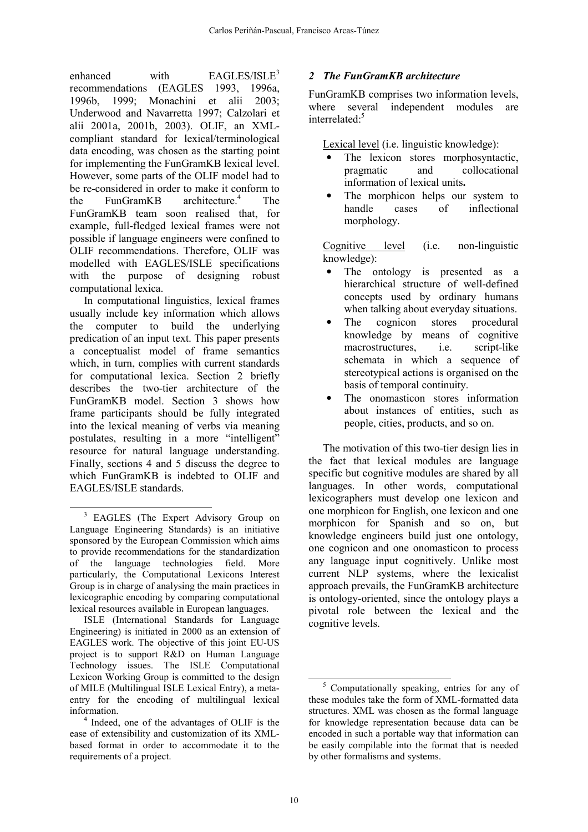enhanced with  $EAGLES/ISLE<sup>3</sup>$ recommendations (EAGLES 1993, 1996a, 1996b, 1999; Monachini et alii 2003; Underwood and Navarretta 1997; Calzolari et alii 2001a, 2001b, 2003). OLIF, an XMLcompliant standard for lexical/terminological data encoding, was chosen as the starting point for implementing the FunGramKB lexical level. However, some parts of the OLIF model had to be re-considered in order to make it conform to the FunGramKB architecture.<sup>4</sup> The FunGramKB team soon realised that, for example, full-fledged lexical frames were not possible if language engineers were confined to OLIF recommendations. Therefore, OLIF was modelled with EAGLES/ISLE specifications with the purpose of designing robust computational lexica.

 In computational linguistics, lexical frames usually include key information which allows the computer to build the underlying predication of an input text. This paper presents a conceptualist model of frame semantics which, in turn, complies with current standards for computational lexica. Section 2 briefly describes the two-tier architecture of the FunGramKB model. Section 3 shows how frame participants should be fully integrated into the lexical meaning of verbs via meaning postulates, resulting in a more "intelligent" resource for natural language understanding. Finally, sections 4 and 5 discuss the degree to which FunGramKB is indebted to OLIF and EAGLES/ISLE standards.

 ISLE (International Standards for Language Engineering) is initiated in 2000 as an extension of EAGLES work. The objective of this joint EU-US project is to support R&D on Human Language Technology issues. The ISLE Computational Lexicon Working Group is committed to the design of MILE (Multilingual ISLE Lexical Entry), a metaentry for the encoding of multilingual lexical information.

## 2 The FunGramKB architecture

FunGramKB comprises two information levels, where several independent modules are interrelated:<sup>5</sup>

Lexical level (i.e. linguistic knowledge):

- The lexicon stores morphosyntactic, pragmatic and collocational information of lexical units.
- The morphicon helps our system to handle cases of inflectional morphology.

Cognitive level (i.e. non-linguistic knowledge):

- The ontology is presented as a hierarchical structure of well-defined concepts used by ordinary humans when talking about everyday situations.
- The cognicon stores procedural knowledge by means of cognitive macrostructures, i.e. script-like schemata in which a sequence of stereotypical actions is organised on the basis of temporal continuity.
- The onomasticon stores information about instances of entities, such as people, cities, products, and so on.

 The motivation of this two-tier design lies in the fact that lexical modules are language specific but cognitive modules are shared by all languages. In other words, computational lexicographers must develop one lexicon and one morphicon for English, one lexicon and one morphicon for Spanish and so on, but knowledge engineers build just one ontology, one cognicon and one onomasticon to process any language input cognitively. Unlike most current NLP systems, where the lexicalist approach prevails, the FunGramKB architecture is ontology-oriented, since the ontology plays a pivotal role between the lexical and the cognitive levels.

 $\overline{a}$ 

 $\overline{a}$ <sup>3</sup> EAGLES (The Expert Advisory Group on Language Engineering Standards) is an initiative sponsored by the European Commission which aims to provide recommendations for the standardization of the language technologies field. More particularly, the Computational Lexicons Interest Group is in charge of analysing the main practices in lexicographic encoding by comparing computational lexical resources available in European languages.

<sup>4</sup> Indeed, one of the advantages of OLIF is the ease of extensibility and customization of its XMLbased format in order to accommodate it to the requirements of a project.

<sup>5</sup> Computationally speaking, entries for any of these modules take the form of XML-formatted data structures. XML was chosen as the formal language for knowledge representation because data can be encoded in such a portable way that information can be easily compilable into the format that is needed by other formalisms and systems.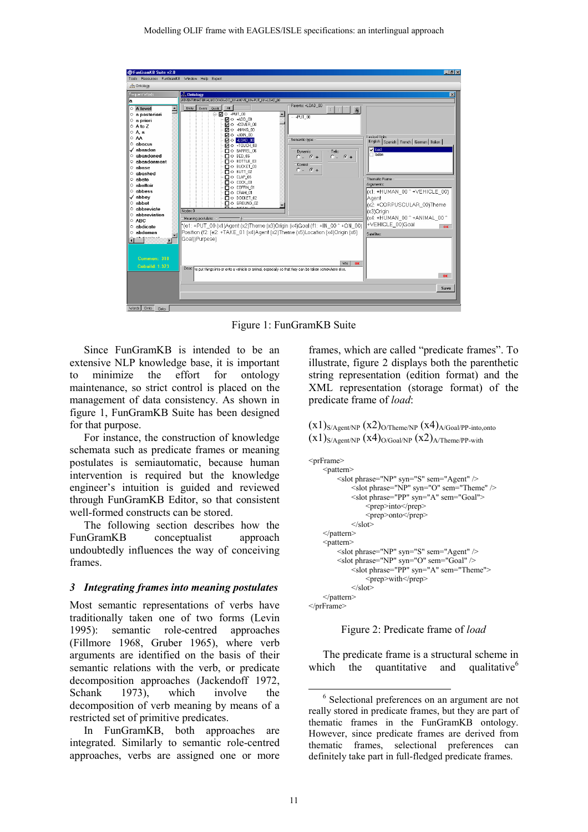

Figure 1: FunGramKB Suite

 Since FunGramKB is intended to be an extensive NLP knowledge base, it is important to minimize the effort for ontology maintenance, so strict control is placed on the management of data consistency. As shown in figure 1, FunGramKB Suite has been designed for that purpose.

 For instance, the construction of knowledge schemata such as predicate frames or meaning postulates is semiautomatic, because human intervention is required but the knowledge engineer's intuition is guided and reviewed through FunGramKB Editor, so that consistent well-formed constructs can be stored.

 The following section describes how the FunGramKB conceptualist approach undoubtedly influences the way of conceiving frames.

#### 3 Integrating frames into meaning postulates

Most semantic representations of verbs have traditionally taken one of two forms (Levin 1995): semantic role-centred approaches (Fillmore 1968, Gruber 1965), where verb arguments are identified on the basis of their semantic relations with the verb, or predicate decomposition approaches (Jackendoff 1972, Schank 1973), which involve the decomposition of verb meaning by means of a restricted set of primitive predicates.

 In FunGramKB, both approaches are integrated. Similarly to semantic role-centred approaches, verbs are assigned one or more frames, which are called "predicate frames". To illustrate, figure 2 displays both the parenthetic string representation (edition format) and the XML representation (storage format) of the predicate frame of load:

 $(x1)_{S/Agent/NP} (x2)_{O/Thene/NP} (x4)_{A/Goal/PP-into,onto}$  $(x1)_{S/Agent/NP} (x4)_{O/Goal/NP} (x2)_{A/Thene/PP-with}$ 

```
<prFrame> 
    <pattern>
          <slot phrase="NP" syn="S" sem="Agent" /> 
              <slot phrase="NP" syn="O" sem="Theme" /> 
              <slot phrase="PP" syn="A" sem="Goal"> 
                   <prep>into</prep> 
                   <prep>onto</prep> 
             \langleslot> </pattern> 
     <pattern> 
          <slot phrase="NP" syn="S" sem="Agent" /> 
         \leslot phrase="NP" syn="O" sem="Goal" />
             \leqslot phrase="PP" syn="A" sem="Theme">
                   <prep>with</prep> 
             \le/slot
     </pattern> 
</prFrame>
```


 The predicate frame is a structural scheme in which the quantitative and qualitative $<sup>6</sup>$ </sup>

 $\overline{a}$ 

<sup>&</sup>lt;sup>6</sup> Selectional preferences on an argument are not really stored in predicate frames, but they are part of thematic frames in the FunGramKB ontology. However, since predicate frames are derived from thematic frames, selectional preferences can definitely take part in full-fledged predicate frames.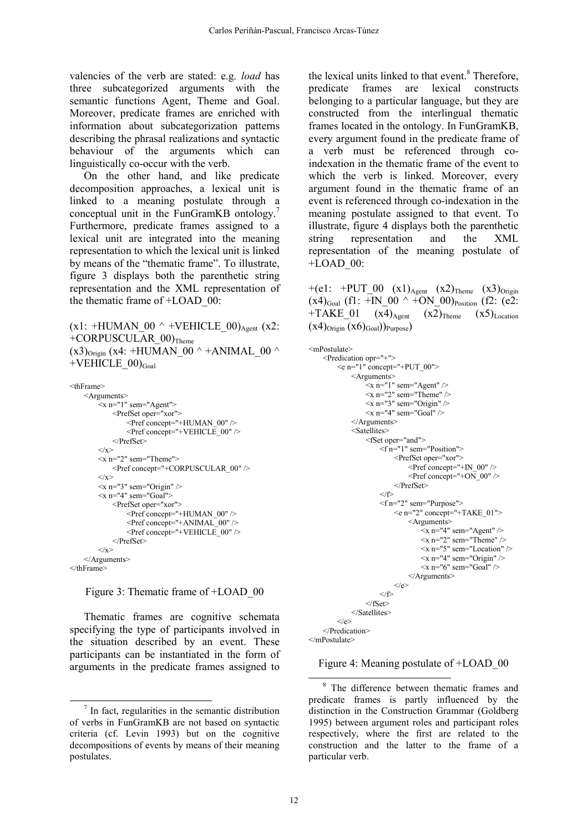valencies of the verb are stated: e.g. load has three subcategorized arguments with the semantic functions Agent, Theme and Goal. Moreover, predicate frames are enriched with information about subcategorization patterns describing the phrasal realizations and syntactic behaviour of the arguments which can linguistically co-occur with the verb.

 On the other hand, and like predicate decomposition approaches, a lexical unit is linked to a meaning postulate through a conceptual unit in the FunGramKB ontology.<sup>7</sup> Furthermore, predicate frames assigned to a lexical unit are integrated into the meaning representation to which the lexical unit is linked by means of the "thematic frame". To illustrate, figure 3 displays both the parenthetic string representation and the XML representation of the thematic frame of +LOAD\_00:

 $(x1: +HUMAN$  00  $\land$  +VEHICLE 00)<sub>Agent</sub> (x2:  $+CORPUSCULAR_00$ <sub>Theme</sub>  $(x3)$ <sub>Origin</sub> (x4: +HUMAN 00 ^ +ANIMAL 00 ^  $+VEHICLE$  00) $_{Goal}$ 

```
<thFrame> 
      <Arguments> 
          \leqx n="1" sem="Agent">
               <PrefSet oper="xor"> 
                    <Pref concept="+HUMAN_00" /> 
                    <Pref concept="+VEHICLE_00" /> 
               </PrefSet> 
         \langle x \rangle\langle x \ranglen="2" sem="Theme">
               <Pref concept="+CORPUSCULAR_00" /> 
         \langle x \rangle\langle x \rangle n="3" sem="Origin" />
         \langle x \ranglen="4" sem="Goal">
               <PrefSet oper="xor"> 
                   \leqPref concept="+HUMAN_00" />
                   \leqPref concept="+ANIMAL_00" />
                    <Pref concept="+VEHICLE_00" /> 
               </PrefSet> 
         \langle x \rangle </Arguments> 
</thFrame>
```
Figure 3: Thematic frame of +LOAD\_00

 Thematic frames are cognitive schemata specifying the type of participants involved in the situation described by an event. These participants can be instantiated in the form of arguments in the predicate frames assigned to

 $\overline{a}$ 

the lexical units linked to that event.<sup>8</sup> Therefore, predicate frames are lexical constructs belonging to a particular language, but they are constructed from the interlingual thematic frames located in the ontology. In FunGramKB, every argument found in the predicate frame of a verb must be referenced through coindexation in the thematic frame of the event to which the verb is linked. Moreover, every argument found in the thematic frame of an event is referenced through co-indexation in the meaning postulate assigned to that event. To illustrate, figure 4 displays both the parenthetic string representation and the XML representation of the meaning postulate of +LOAD\_00:

```
+(e1: +PUT 00 (x1)_{\text{Agent}} (x2)_{\text{Theme}} (x3)_{\text{Original}}(x4)_{\text{Goal}} (f1: +\text{IN} 00 \land +ON 00)<sub>Position</sub> (f2: (e2:
+TAKE 01 (x4)_{Agent} (x2)_{Theme} (x5)_{Location}(x4)_{\text{Original}} (x6)_{\text{Goal}})_{\text{Purpose}}
```

```
<mPostulate> 
      <Predication opr="+"> 
           \leqe n="1" concept="+PUT_00">
                 <Arguments> 
                      \leqx n="1" sem="Agent" />
                      \langle x \rangle n="2" sem="Theme" \langle \rangle\langle x \rangle n="3" sem="Origin" />
                      \langle x \rangle n="4" sem="Goal" \langle \rangle </Arguments> 
                 <Satellites> 
                       <fSet oper="and"> 
                             <f n="1" sem="Position"> 
                                  <PrefSet oper="xor"> 
                                       \leqPref concept="+IN_00" />
                                       \leqPref concept="+ON_00" />
                                  </PrefSet> 
                            \langle f \rangle\leq fn="2" sem="Purpose">
                                 \leqe n="2" concept="+TAKE_01">
                                        <Arguments> 
                                           \leqx n="4" sem="Agent" />
                                            \leqx n="2" sem="Theme" />
                                             <x n="5" sem="Location" /> 
                                            \langle x \rangle n="4" sem="Origin" \langle \rangle\langle x \rangle n="6" sem="Goal" />
                                        </Arguments> 
                                 \langle e \rangle\langle f \rangle\epsilon/fSet\sim </Satellites> 
           \langle e \rangle </Predication>
```
</mPostulate>

 $\overline{a}$ 

Figure 4: Meaning postulate of +LOAD\_00

 $7$  In fact, regularities in the semantic distribution of verbs in FunGramKB are not based on syntactic criteria (cf. Levin 1993) but on the cognitive decompositions of events by means of their meaning postulates.

<sup>&</sup>lt;sup>8</sup> The difference between thematic frames and predicate frames is partly influenced by the distinction in the Construction Grammar (Goldberg 1995) between argument roles and participant roles respectively, where the first are related to the construction and the latter to the frame of a particular verb.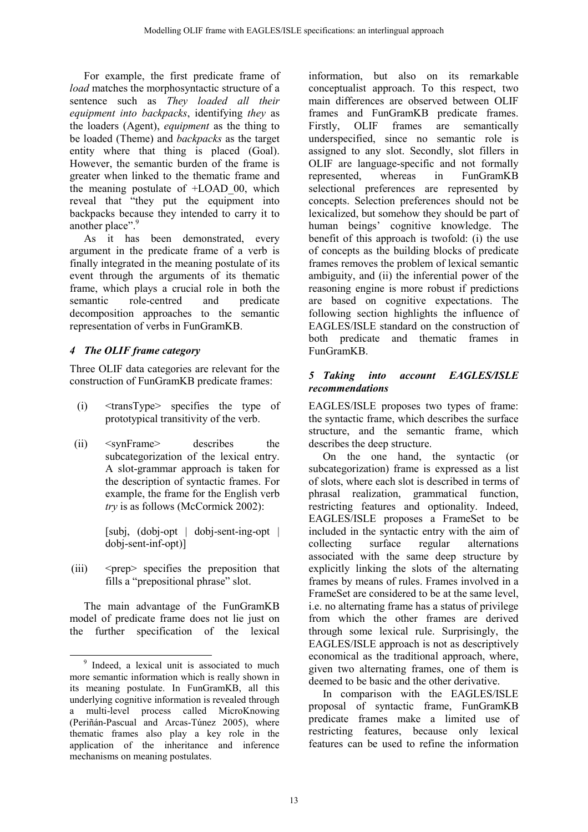For example, the first predicate frame of load matches the morphosyntactic structure of a sentence such as They loaded all their equipment into backpacks, identifying they as the loaders (Agent), equipment as the thing to be loaded (Theme) and backpacks as the target entity where that thing is placed (Goal). However, the semantic burden of the frame is greater when linked to the thematic frame and the meaning postulate of +LOAD\_00, which reveal that "they put the equipment into backpacks because they intended to carry it to another place".<sup>9</sup>

As it has been demonstrated, every argument in the predicate frame of a verb is finally integrated in the meaning postulate of its event through the arguments of its thematic frame, which plays a crucial role in both the semantic role-centred and predicate decomposition approaches to the semantic representation of verbs in FunGramKB.

# 4 The OLIF frame category

Three OLIF data categories are relevant for the construction of FunGramKB predicate frames:

- (i) <transType> specifies the type of prototypical transitivity of the verb.
- (ii) <synFrame> describes the subcategorization of the lexical entry. A slot-grammar approach is taken for the description of syntactic frames. For example, the frame for the English verb try is as follows (McCormick 2002):

[subj, (dobj-opt | dobj-sent-ing-opt | dobj-sent-inf-opt)]

 $(iii)$   $\leq$   $prep$  specifies the preposition that fills a "prepositional phrase" slot.

 The main advantage of the FunGramKB model of predicate frame does not lie just on the further specification of the lexical

 $\overline{a}$ 

information, but also on its remarkable conceptualist approach. To this respect, two main differences are observed between OLIF frames and FunGramKB predicate frames. Firstly, OLIF frames are semantically underspecified, since no semantic role is assigned to any slot. Secondly, slot fillers in OLIF are language-specific and not formally represented, whereas in FunGramKB selectional preferences are represented by concepts. Selection preferences should not be lexicalized, but somehow they should be part of human beings' cognitive knowledge. The benefit of this approach is twofold: (i) the use of concepts as the building blocks of predicate frames removes the problem of lexical semantic ambiguity, and (ii) the inferential power of the reasoning engine is more robust if predictions are based on cognitive expectations. The following section highlights the influence of EAGLES/ISLE standard on the construction of both predicate and thematic frames in FunGramKB.

## 5 Taking into account EAGLES/ISLE recommendations

EAGLES/ISLE proposes two types of frame: the syntactic frame, which describes the surface structure, and the semantic frame, which describes the deep structure.

 On the one hand, the syntactic (or subcategorization) frame is expressed as a list of slots, where each slot is described in terms of phrasal realization, grammatical function, restricting features and optionality. Indeed, EAGLES/ISLE proposes a FrameSet to be included in the syntactic entry with the aim of collecting surface regular alternations associated with the same deep structure by explicitly linking the slots of the alternating frames by means of rules. Frames involved in a FrameSet are considered to be at the same level, i.e. no alternating frame has a status of privilege from which the other frames are derived through some lexical rule. Surprisingly, the EAGLES/ISLE approach is not as descriptively economical as the traditional approach, where, given two alternating frames, one of them is deemed to be basic and the other derivative.

 In comparison with the EAGLES/ISLE proposal of syntactic frame, FunGramKB predicate frames make a limited use of restricting features, because only lexical features can be used to refine the information

<sup>&</sup>lt;sup>9</sup> Indeed, a lexical unit is associated to much more semantic information which is really shown in its meaning postulate. In FunGramKB, all this underlying cognitive information is revealed through a multi-level process called MicroKnowing (Periñán-Pascual and Arcas-Túnez 2005), where thematic frames also play a key role in the application of the inheritance and inference mechanisms on meaning postulates.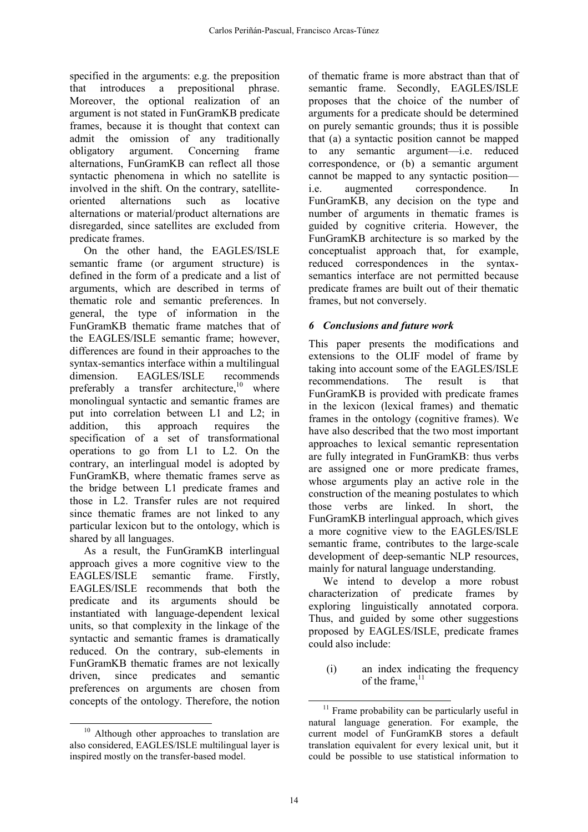specified in the arguments: e.g. the preposition that introduces a prepositional phrase. Moreover, the optional realization of an argument is not stated in FunGramKB predicate frames, because it is thought that context can admit the omission of any traditionally obligatory argument. Concerning frame alternations, FunGramKB can reflect all those syntactic phenomena in which no satellite is involved in the shift. On the contrary, satelliteoriented alternations such as locative alternations or material/product alternations are disregarded, since satellites are excluded from predicate frames.

 On the other hand, the EAGLES/ISLE semantic frame (or argument structure) is defined in the form of a predicate and a list of arguments, which are described in terms of thematic role and semantic preferences. In general, the type of information in the FunGramKB thematic frame matches that of the EAGLES/ISLE semantic frame; however, differences are found in their approaches to the syntax-semantics interface within a multilingual dimension. EAGLES/ISLE recommends preferably a transfer architecture, $10$  where monolingual syntactic and semantic frames are put into correlation between L1 and L2; in addition, this approach requires the specification of a set of transformational operations to go from L1 to L2. On the contrary, an interlingual model is adopted by FunGramKB, where thematic frames serve as the bridge between L1 predicate frames and those in L2. Transfer rules are not required since thematic frames are not linked to any particular lexicon but to the ontology, which is shared by all languages.

 As a result, the FunGramKB interlingual approach gives a more cognitive view to the EAGLES/ISLE semantic frame. Firstly, EAGLES/ISLE recommends that both the predicate and its arguments should be instantiated with language-dependent lexical units, so that complexity in the linkage of the syntactic and semantic frames is dramatically reduced. On the contrary, sub-elements in FunGramKB thematic frames are not lexically driven, since predicates and semantic preferences on arguments are chosen from concepts of the ontology. Therefore, the notion of thematic frame is more abstract than that of semantic frame. Secondly, EAGLES/ISLE proposes that the choice of the number of arguments for a predicate should be determined on purely semantic grounds; thus it is possible that (a) a syntactic position cannot be mapped to any semantic argument—i.e. reduced correspondence, or (b) a semantic argument cannot be mapped to any syntactic position i.e. augmented correspondence. In FunGramKB, any decision on the type and number of arguments in thematic frames is guided by cognitive criteria. However, the FunGramKB architecture is so marked by the conceptualist approach that, for example, reduced correspondences in the syntaxsemantics interface are not permitted because predicate frames are built out of their thematic frames, but not conversely.

# 6 Conclusions and future work

This paper presents the modifications and extensions to the OLIF model of frame by taking into account some of the EAGLES/ISLE recommendations. The result is that FunGramKB is provided with predicate frames in the lexicon (lexical frames) and thematic frames in the ontology (cognitive frames). We have also described that the two most important approaches to lexical semantic representation are fully integrated in FunGramKB: thus verbs are assigned one or more predicate frames, whose arguments play an active role in the construction of the meaning postulates to which those verbs are linked. In short, the FunGramKB interlingual approach, which gives a more cognitive view to the EAGLES/ISLE semantic frame, contributes to the large-scale development of deep-semantic NLP resources, mainly for natural language understanding.

 We intend to develop a more robust characterization of predicate frames by exploring linguistically annotated corpora. Thus, and guided by some other suggestions proposed by EAGLES/ISLE, predicate frames could also include:

(i) an index indicating the frequency of the frame. $11$ 

 $\overline{a}$ <sup>10</sup> Although other approaches to translation are also considered, EAGLES/ISLE multilingual layer is inspired mostly on the transfer-based model.

 $\overline{a}$  $11$  Frame probability can be particularly useful in natural language generation. For example, the current model of FunGramKB stores a default translation equivalent for every lexical unit, but it could be possible to use statistical information to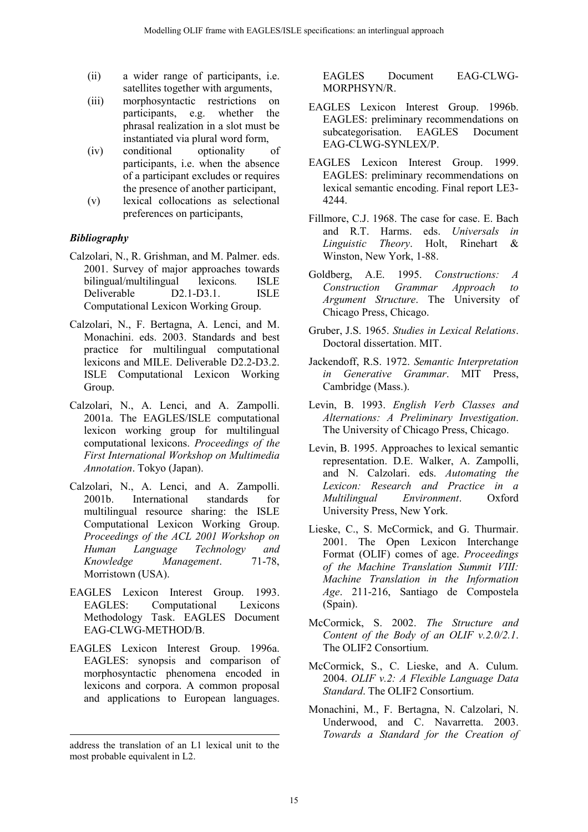- (ii) a wider range of participants, i.e. satellites together with arguments,
- (iii) morphosyntactic restrictions on participants, e.g. whether the phrasal realization in a slot must be instantiated via plural word form,
- (iv) conditional optionality of participants, i.e. when the absence of a participant excludes or requires the presence of another participant,
- (v) lexical collocations as selectional preferences on participants,

# Bibliography

- Calzolari, N., R. Grishman, and M. Palmer. eds. 2001. Survey of major approaches towards bilingual/multilingual lexicons. ISLE Deliverable D2.1-D3.1. ISLE Computational Lexicon Working Group.
- Calzolari, N., F. Bertagna, A. Lenci, and M. Monachini. eds. 2003. Standards and best practice for multilingual computational lexicons and MILE. Deliverable D2.2-D3.2. ISLE Computational Lexicon Working Group.
- Calzolari, N., A. Lenci, and A. Zampolli. 2001a. The EAGLES/ISLE computational lexicon working group for multilingual computational lexicons. Proceedings of the First International Workshop on Multimedia Annotation. Tokyo (Japan).
- Calzolari, N., A. Lenci, and A. Zampolli. 2001b. International standards for multilingual resource sharing: the ISLE Computational Lexicon Working Group. Proceedings of the ACL 2001 Workshop on Human Language Technology and Knowledge Management. 71-78, Morristown (USA).
- EAGLES Lexicon Interest Group. 1993. EAGLES: Computational Lexicons Methodology Task. EAGLES Document EAG-CLWG-METHOD/B.
- EAGLES Lexicon Interest Group. 1996a. EAGLES: synopsis and comparison of morphosyntactic phenomena encoded in lexicons and corpora. A common proposal and applications to European languages.

EAGLES Document EAG-CLWG-MORPHSYN/R.

- EAGLES Lexicon Interest Group. 1996b. EAGLES: preliminary recommendations on subcategorisation. EAGLES Document EAG-CLWG-SYNLEX/P.
- EAGLES Lexicon Interest Group. 1999. EAGLES: preliminary recommendations on lexical semantic encoding. Final report LE3- 4244.
- Fillmore, C.J. 1968. The case for case. E. Bach and R.T. Harms. eds. Universals in Linguistic Theory. Holt, Rinehart & Winston, New York, 1-88.
- Goldberg, A.E. 1995. Constructions: A Construction Grammar Approach to Argument Structure. The University of Chicago Press, Chicago.
- Gruber, J.S. 1965. Studies in Lexical Relations. Doctoral dissertation. MIT.
- Jackendoff, R.S. 1972. Semantic Interpretation in Generative Grammar. MIT Press, Cambridge (Mass.).
- Levin, B. 1993. English Verb Classes and Alternations: A Preliminary Investigation. The University of Chicago Press, Chicago.
- Levin, B. 1995. Approaches to lexical semantic representation. D.E. Walker, A. Zampolli, and N. Calzolari. eds. Automating the Lexicon: Research and Practice in a Multilingual Environment. Oxford University Press, New York.
- Lieske, C., S. McCormick, and G. Thurmair. 2001. The Open Lexicon Interchange Format (OLIF) comes of age. Proceedings of the Machine Translation Summit VIII: Machine Translation in the Information Age. 211-216, Santiago de Compostela (Spain).
- McCormick, S. 2002. The Structure and Content of the Body of an OLIF  $v.2.0/2.1$ . The OLIF2 Consortium.
- McCormick, S., C. Lieske, and A. Culum. 2004. OLIF v.2: A Flexible Language Data Standard. The OLIF2 Consortium.
- Monachini, M., F. Bertagna, N. Calzolari, N. Underwood, and C. Navarretta. 2003. Towards a Standard for the Creation of

 $\overline{a}$ address the translation of an L1 lexical unit to the most probable equivalent in L2.